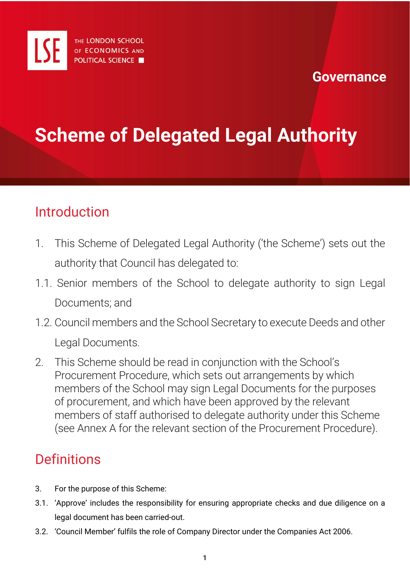

#### **Governance**

# **Scheme of Delegated Legal Authority**

### Introduction

- 1. This Scheme of Delegated Legal Authority ('the Scheme') sets out the authority that Council has delegated to:
- 1.1. Senior members of the School to delegate authority to sign Legal Documents; and
- 1.2. Council members and the School Secretary to execute Deeds and other Legal Documents.
- 2. This Scheme should be read in conjunction with the School's Procurement Procedure, which sets out arrangements by which members of the School may sign Legal Documents for the purposes of procurement, and which have been approved by the relevant members of staff authorised to delegate authority under this Scheme (see Annex A for the relevant section of the Procurement Procedure).

### **Definitions**

- 3. For the purpose of this Scheme:
- 3.1. 'Approve' includes the responsibility for ensuring appropriate checks and due diligence on a legal document has been carried-out.
- 3.2. 'Council Member' fulfils the role of Company Director under the Companies Act 2006.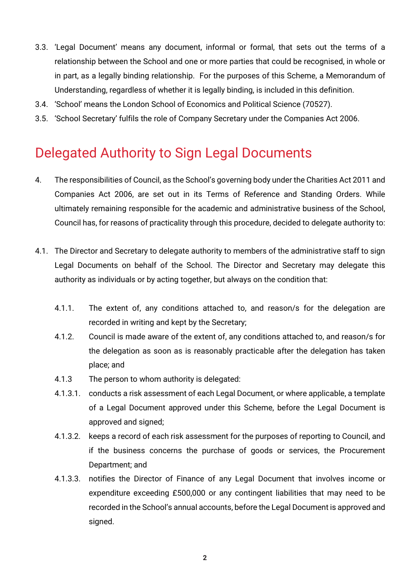- 3.3. 'Legal Document' means any document, informal or formal, that sets out the terms of a relationship between the School and one or more parties that could be recognised, in whole or in part, as a legally binding relationship. For the purposes of this Scheme, a Memorandum of Understanding, regardless of whether it is legally binding, is included in this definition.
- 3.4. 'School' means the London School of Economics and Political Science (70527).
- 3.5. 'School Secretary' fulfils the role of Company Secretary under the Companies Act 2006.

### Delegated Authority to Sign Legal Documents

- 4. The responsibilities of Council, as the School's governing body under the Charities Act 2011 and Companies Act 2006, are set out in its Terms of Reference and Standing Orders. While ultimately remaining responsible for the academic and administrative business of the School, Council has, for reasons of practicality through this procedure, decided to delegate authority to:
- 4.1. The Director and Secretary to delegate authority to members of the administrative staff to sign Legal Documents on behalf of the School. The Director and Secretary may delegate this authority as individuals or by acting together, but always on the condition that:
	- 4.1.1. The extent of, any conditions attached to, and reason/s for the delegation are recorded in writing and kept by the Secretary;
	- 4.1.2. Council is made aware of the extent of, any conditions attached to, and reason/s for the delegation as soon as is reasonably practicable after the delegation has taken place; and
	- 4.1.3 The person to whom authority is delegated:
	- 4.1.3.1. conducts a risk assessment of each Legal Document, or where applicable, a template of a Legal Document approved under this Scheme, before the Legal Document is approved and signed;
	- 4.1.3.2. keeps a record of each risk assessment for the purposes of reporting to Council, and if the business concerns the purchase of goods or services, the Procurement Department; and
	- 4.1.3.3. notifies the Director of Finance of any Legal Document that involves income or expenditure exceeding £500,000 or any contingent liabilities that may need to be recorded in the School's annual accounts, before the Legal Document is approved and signed.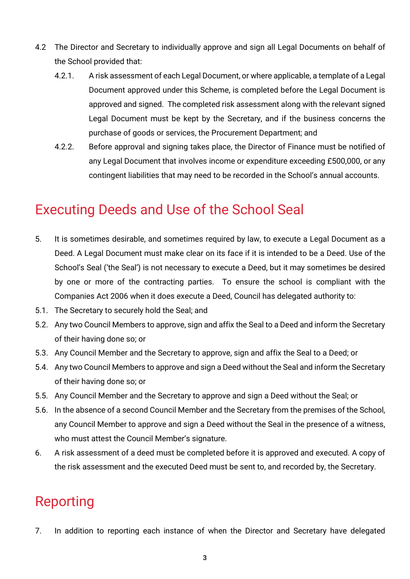- 4.2 The Director and Secretary to individually approve and sign all Legal Documents on behalf of the School provided that:
	- 4.2.1. A risk assessment of each Legal Document, or where applicable, a template of a Legal Document approved under this Scheme, is completed before the Legal Document is approved and signed. The completed risk assessment along with the relevant signed Legal Document must be kept by the Secretary, and if the business concerns the purchase of goods or services, the Procurement Department; and
	- 4.2.2. Before approval and signing takes place, the Director of Finance must be notified of any Legal Document that involves income or expenditure exceeding £500,000, or any contingent liabilities that may need to be recorded in the School's annual accounts.

### Executing Deeds and Use of the School Seal

- 5. It is sometimes desirable, and sometimes required by law, to execute a Legal Document as a Deed. A Legal Document must make clear on its face if it is intended to be a Deed. Use of the School's Seal ('the Seal') is not necessary to execute a Deed, but it may sometimes be desired by one or more of the contracting parties. To ensure the school is compliant with the Companies Act 2006 when it does execute a Deed, Council has delegated authority to:
- 5.1. The Secretary to securely hold the Seal; and
- 5.2. Any two Council Members to approve, sign and affix the Seal to a Deed and inform the Secretary of their having done so; or
- 5.3. Any Council Member and the Secretary to approve, sign and affix the Seal to a Deed; or
- 5.4. Any two Council Members to approve and sign a Deed without the Seal and inform the Secretary of their having done so; or
- 5.5. Any Council Member and the Secretary to approve and sign a Deed without the Seal; or
- 5.6. In the absence of a second Council Member and the Secretary from the premises of the School, any Council Member to approve and sign a Deed without the Seal in the presence of a witness, who must attest the Council Member's signature.
- 6. A risk assessment of a deed must be completed before it is approved and executed. A copy of the risk assessment and the executed Deed must be sent to, and recorded by, the Secretary.

# Reporting

7. In addition to reporting each instance of when the Director and Secretary have delegated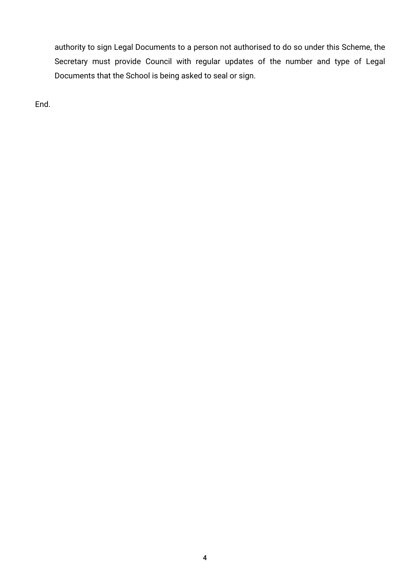authority to sign Legal Documents to a person not authorised to do so under this Scheme, the Secretary must provide Council with regular updates of the number and type of Legal Documents that the School is being asked to seal or sign.

End.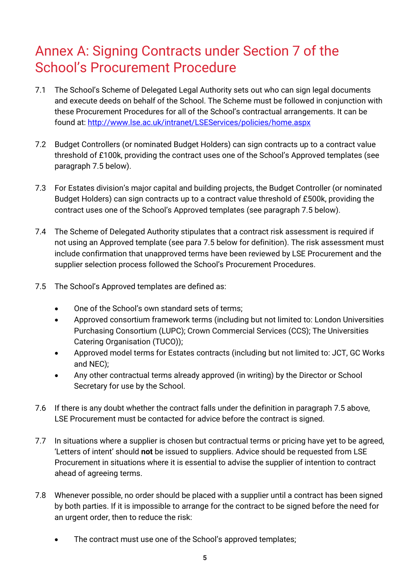## Annex A: Signing Contracts under Section 7 of the School's Procurement Procedure

- 7.1 The School's Scheme of Delegated Legal Authority sets out who can sign legal documents and execute deeds on behalf of the School. The Scheme must be followed in conjunction with these Procurement Procedures for all of the School's contractual arrangements. It can be found at: <http://www.lse.ac.uk/intranet/LSEServices/policies/home.aspx>
- 7.2 Budget Controllers (or nominated Budget Holders) can sign contracts up to a contract value threshold of £100k, providing the contract uses one of the School's Approved templates (see paragraph 7.5 below).
- 7.3 For Estates division's major capital and building projects, the Budget Controller (or nominated Budget Holders) can sign contracts up to a contract value threshold of £500k, providing the contract uses one of the School's Approved templates (see paragraph 7.5 below).
- 7.4 The Scheme of Delegated Authority stipulates that a contract risk assessment is required if not using an Approved template (see para 7.5 below for definition). The risk assessment must include confirmation that unapproved terms have been reviewed by LSE Procurement and the supplier selection process followed the School's Procurement Procedures.
- 7.5 The School's Approved templates are defined as:
	- One of the School's own standard sets of terms;
	- Approved consortium framework terms (including but not limited to: London Universities Purchasing Consortium (LUPC); Crown Commercial Services (CCS); The Universities Catering Organisation (TUCO));
	- Approved model terms for Estates contracts (including but not limited to: JCT, GC Works and NEC);
	- Any other contractual terms already approved (in writing) by the Director or School Secretary for use by the School.
- 7.6 If there is any doubt whether the contract falls under the definition in paragraph 7.5 above, LSE Procurement must be contacted for advice before the contract is signed.
- 7.7 In situations where a supplier is chosen but contractual terms or pricing have yet to be agreed, 'Letters of intent' should **not** be issued to suppliers. Advice should be requested from LSE Procurement in situations where it is essential to advise the supplier of intention to contract ahead of agreeing terms.
- 7.8 Whenever possible, no order should be placed with a supplier until a contract has been signed by both parties. If it is impossible to arrange for the contract to be signed before the need for an urgent order, then to reduce the risk:
	- The contract must use one of the School's approved templates;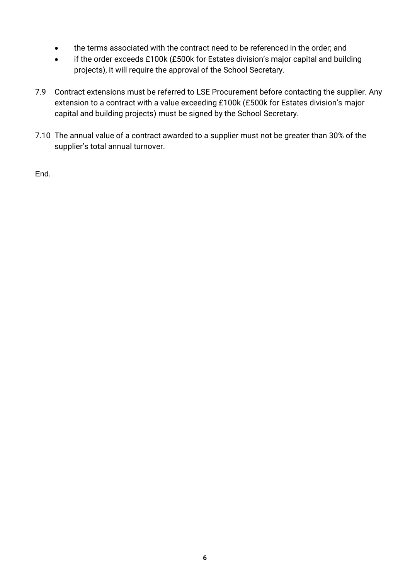- the terms associated with the contract need to be referenced in the order; and
- if the order exceeds £100k (£500k for Estates division's major capital and building projects), it will require the approval of the School Secretary.
- 7.9 Contract extensions must be referred to LSE Procurement before contacting the supplier. Any extension to a contract with a value exceeding £100k (£500k for Estates division's major capital and building projects) must be signed by the School Secretary.
- 7.10 The annual value of a contract awarded to a supplier must not be greater than 30% of the supplier's total annual turnover.

End.